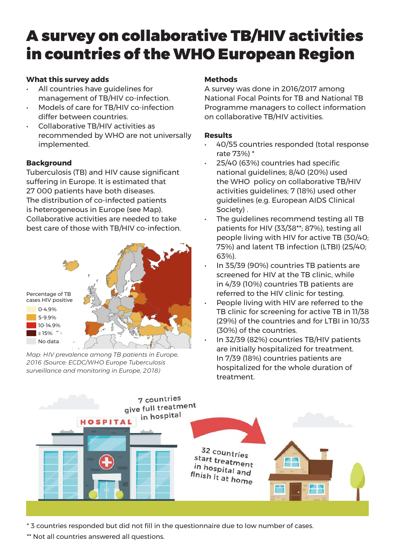# A survey on collaborative TB/HIV activities in countries of the WHO European Region

# **What this survey adds**

- All countries have guidelines for management of TB/HIV co-infection.
- Models of care for TB/HIV co-infection differ between countries.
- Collaborative TB/HIV activities as recommended by WHO are not universally implemented.

## **Background**

Tuberculosis (TB) and HIV cause signifcant suffering in Europe. It is estimated that 27 000 patients have both diseases. The distribution of co-infected patients is heterogeneous in Europe (see Map). Collaborative activities are needed to take best care of those with TB/HIV co-infection.



Map: HIV prevalence among TB patients in Europe, *2016 (Source: ECDC/WHO Europe Tuberculosis surveillance and monitoring in Europe, 2018)*

# **Methods**

A survey was done in 2016/2017 among National Focal Points for TB and National TB Programme managers to collect information on collaborative TB/HIV activities.

## **Results**

- 40/55 countries responded (total response rate 73%) \*
- 25/40 (63%) countries had specifc national guidelines; 8/40 (20%) used the WHO policy on collaborative TB/HIV activities guidelines; 7 (18%) used other guidelines (e.g. European AIDS Clinical Society) .
- The quidelines recommend testing all TB patients for HIV (33/38\*\*; 87%), testing all people living with HIV for active TB (30/40; 75%) and latent TB infection (LTBI) (25/40; 63%).
- In 35/39 (90%) countries TB patients are screened for HIV at the TB clinic, while in 4/39 (10%) countries TB patients are referred to the HIV clinic for testing.
- People living with HIV are referred to the TB clinic for screening for active TB in 11/38 (29%) of the countries and for LTBI in 10/33 (30%) of the countries.
- In 32/39 (82%) countries TB/HIV patients are initially hospitalized for treatment. In 7/39 (18%) countries patients are hospitalized for the whole duration of treatment.



\* 3 countries responded but did not fll in the questionnaire due to low number of cases.

\*\* Not all countries answered all questions.